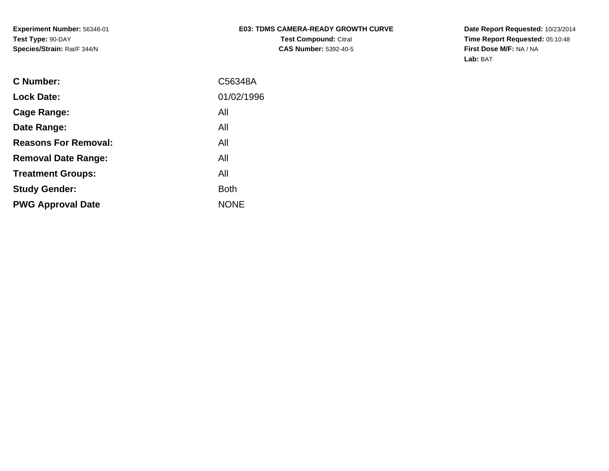### **E03: TDMS CAMERA-READY GROWTH CURVETest Compound:** Citral **CAS Number:** 5392-40-5

**Date Report Requested:** 10/23/2014 **Time Report Requested:** 05:10:48**First Dose M/F:** NA / NA**Lab:** BAT

| C56348A     |
|-------------|
| 01/02/1996  |
| All         |
| All         |
| All         |
| All         |
| All         |
| Both        |
| <b>NONE</b> |
|             |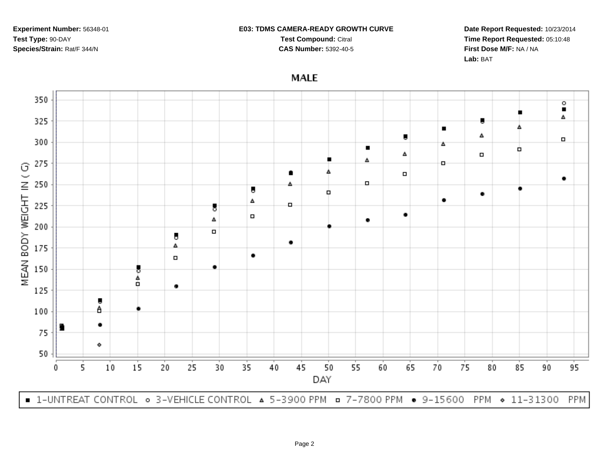#### **E03: TDMS CAMERA-READY GROWTH CURVE**

**Test Compound:** Citral **CAS Number:** 5392-40-5

**Date Report Requested:** 10/23/2014**Time Report Requested:** 05:10:48**First Dose M/F:** NA / NA**Lab:** BAT

## **MALE**

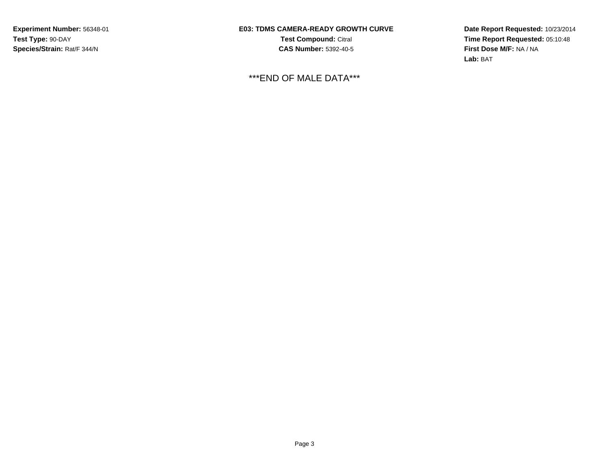**E03: TDMS CAMERA-READY GROWTH CURVETest Compound:** Citral **CAS Number:** 5392-40-5

\*\*\*END OF MALE DATA\*\*\*

**Date Report Requested:** 10/23/2014**Time Report Requested:** 05:10:48**First Dose M/F:** NA / NA**Lab:** BAT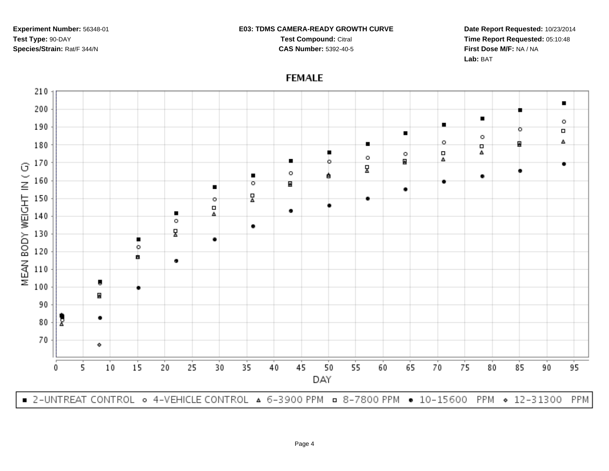### **E03: TDMS CAMERA-READY GROWTH CURVE**

**Test Compound:** Citral **CAS Number:** 5392-40-5

**Date Report Requested:** 10/23/2014**Time Report Requested:** 05:10:48**First Dose M/F:** NA / NA**Lab:** BAT

# **FEMALE**